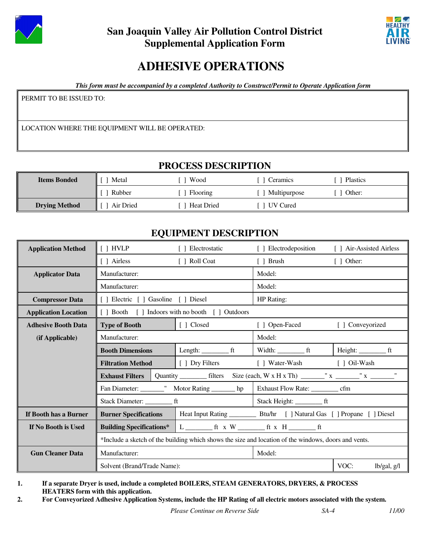



# **ADHESIVE OPERATIONS**

*This form must be accompanied by a completed Authority to Construct/Permit to Operate Application form*

PERMIT TO BE ISSUED TO:

LOCATION WHERE THE EQUIPMENT WILL BE OPERATED:

## **PROCESS DESCRIPTION**

| <b>Items Bonded</b>  | Metal     | Wood              | Ceramics     | Plastics |
|----------------------|-----------|-------------------|--------------|----------|
|                      | Rubber    | Flooring          | Multipurpose | Other:   |
| <b>Drying Method</b> | Air Dried | <b>Heat Dried</b> | UV Cured     |          |

## **EQUIPMENT DESCRIPTION**

| <b>Application Method</b>   | $[$ $]$ HVLP                                                                                         | [ ] Electrostatic                                | [ ] Electrodeposition                                                                 | [ ] Air-Assisted Airless |  |  |
|-----------------------------|------------------------------------------------------------------------------------------------------|--------------------------------------------------|---------------------------------------------------------------------------------------|--------------------------|--|--|
|                             | [ ] Airless                                                                                          | [ ] Roll Coat                                    | [ ] Brush                                                                             | $[ ]$ Other:             |  |  |
| <b>Applicator Data</b>      | Manufacturer:                                                                                        |                                                  | Model:                                                                                |                          |  |  |
|                             | Manufacturer:                                                                                        |                                                  | Model:                                                                                |                          |  |  |
| <b>Compressor Data</b>      | [ ] Electric [ ] Gasoline [ ] Diesel                                                                 |                                                  | HP Rating:                                                                            |                          |  |  |
| <b>Application Location</b> |                                                                                                      | [ ] Booth [ ] Indoors with no booth [ ] Outdoors |                                                                                       |                          |  |  |
| <b>Adhesive Booth Data</b>  | <b>Type of Booth</b>                                                                                 | [ ] Closed                                       | [ ] Open-Faced                                                                        | [ ] Conveyorized         |  |  |
| (if Applicable)             | Manufacturer:                                                                                        |                                                  | Model:                                                                                |                          |  |  |
|                             | <b>Booth Dimensions</b>                                                                              | Length: $f$ t                                    |                                                                                       |                          |  |  |
|                             | <b>Filtration Method</b>                                                                             | [ ] Dry Filters                                  | [ ] Water-Wash [ ] Oil-Wash                                                           |                          |  |  |
|                             |                                                                                                      |                                                  |                                                                                       |                          |  |  |
|                             |                                                                                                      |                                                  | Fan Diameter: __________" Motor Rating ________ hp   Exhaust Flow Rate: _________ cfm |                          |  |  |
|                             |                                                                                                      |                                                  |                                                                                       |                          |  |  |
| If Booth has a Burner       | <b>Burner Specifications</b>                                                                         |                                                  |                                                                                       |                          |  |  |
| If No Booth is Used         | <b>Building Specifications*</b>                                                                      |                                                  |                                                                                       |                          |  |  |
|                             | *Include a sketch of the building which shows the size and location of the windows, doors and vents. |                                                  |                                                                                       |                          |  |  |
| <b>Gun Cleaner Data</b>     | Manufacturer:                                                                                        |                                                  | Model:                                                                                |                          |  |  |
|                             | Solvent (Brand/Trade Name):                                                                          |                                                  |                                                                                       | VOC:<br>lb/gal, g/l      |  |  |

**1. If a separate Dryer is used, include a completed BOILERS, STEAM GENERATORS, DRYERS, & PROCESS HEATERS form with this application.** 

**2. For Conveyorized Adhesive Application Systems, include the HP Rating of all electric motors associated with the system.**